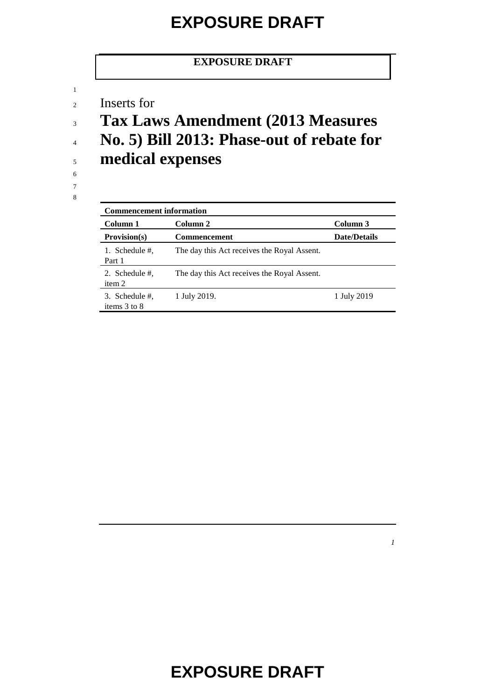#### **EXPOSURE DRAFT**

<sup>2</sup> Inserts for

1

7 8

<sup>3</sup> **Tax Laws Amendment (2013 Measures** 

- <sup>4</sup> **No. 5) Bill 2013: Phase-out of rebate for**  <sup>5</sup> **medical expenses**
- 6

| <b>Commencement information</b> |                                             |                     |  |  |
|---------------------------------|---------------------------------------------|---------------------|--|--|
| Column 1                        | Column 2                                    | Column 3            |  |  |
| Provision(s)                    | <b>Commencement</b>                         | <b>Date/Details</b> |  |  |
| 1. Schedule #.<br>Part 1        | The day this Act receives the Royal Assent. |                     |  |  |
| 2. Schedule #,<br>item 2        | The day this Act receives the Royal Assent. |                     |  |  |
| 3. Schedule #,<br>items 3 to 8  | 1 July 2019.                                | 1 July 2019         |  |  |

*1*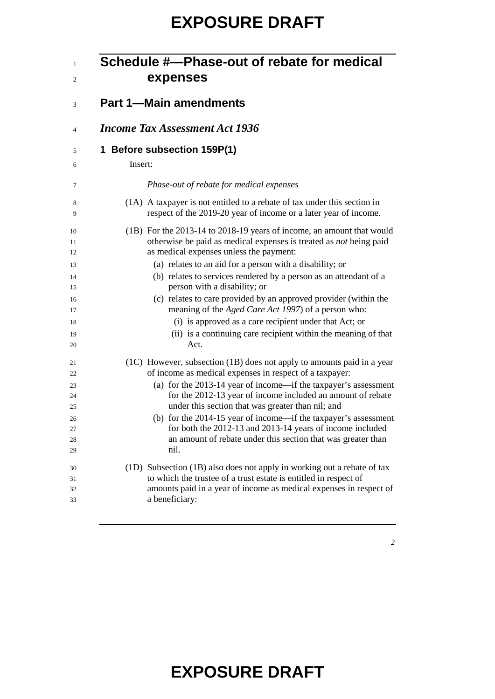|                               | Schedule #---Phase-out of rebate for medical<br>expenses                                                                                                                                     |  |  |  |
|-------------------------------|----------------------------------------------------------------------------------------------------------------------------------------------------------------------------------------------|--|--|--|
| <b>Part 1-Main amendments</b> |                                                                                                                                                                                              |  |  |  |
|                               | <b>Income Tax Assessment Act 1936</b>                                                                                                                                                        |  |  |  |
| Insert:                       | 1 Before subsection 159P(1)                                                                                                                                                                  |  |  |  |
|                               | Phase-out of rebate for medical expenses                                                                                                                                                     |  |  |  |
|                               | (1A) A taxpayer is not entitled to a rebate of tax under this section in<br>respect of the 2019-20 year of income or a later year of income.                                                 |  |  |  |
|                               | (1B) For the 2013-14 to 2018-19 years of income, an amount that would<br>otherwise be paid as medical expenses is treated as not being paid<br>as medical expenses unless the payment:       |  |  |  |
|                               | (a) relates to an aid for a person with a disability; or<br>(b) relates to services rendered by a person as an attendant of a<br>person with a disability; or                                |  |  |  |
|                               | (c) relates to care provided by an approved provider (within the<br>meaning of the Aged Care Act 1997) of a person who:                                                                      |  |  |  |
|                               | (i) is approved as a care recipient under that Act; or<br>(ii) is a continuing care recipient within the meaning of that<br>Act.                                                             |  |  |  |
|                               | (1C) However, subsection (1B) does not apply to amounts paid in a year<br>of income as medical expenses in respect of a taxpayer:                                                            |  |  |  |
|                               | (a) for the 2013-14 year of income—if the taxpayer's assessment<br>for the 2012-13 year of income included an amount of rebate<br>under this section that was greater than nil; and          |  |  |  |
|                               | (b) for the 2014-15 year of income—if the taxpayer's assessment<br>for both the 2012-13 and 2013-14 years of income included<br>an amount of rebate under this section that was greater than |  |  |  |
|                               | nil.<br>(1D) Subsection (1B) also does not apply in working out a rebate of tax<br>to which the trustee of a trust estate is entitled in respect of                                          |  |  |  |
|                               | amounts paid in a year of income as medical expenses in respect of<br>a beneficiary:                                                                                                         |  |  |  |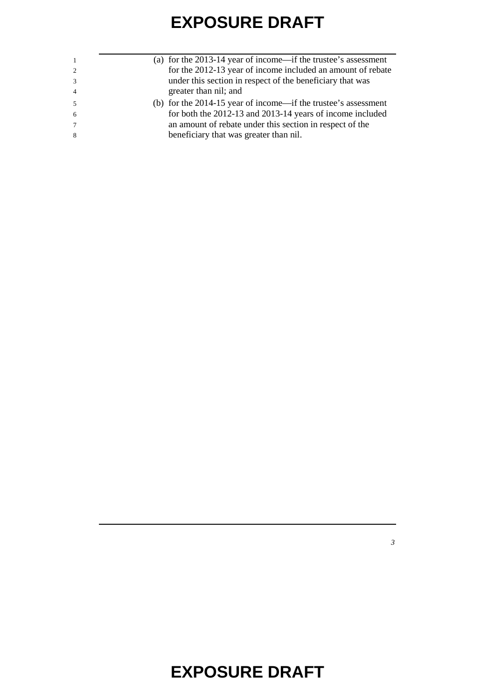| $\overline{1}$  | (a) for the $2013-14$ year of income—if the trustee's assessment |
|-----------------|------------------------------------------------------------------|
| 2               | for the 2012-13 year of income included an amount of rebate      |
| 3               | under this section in respect of the beneficiary that was        |
| $\overline{4}$  | greater than nil; and                                            |
| -5              | (b) for the $2014-15$ year of income—if the trustee's assessment |
| -6              | for both the 2012-13 and 2013-14 years of income included        |
| $7\phantom{.0}$ | an amount of rebate under this section in respect of the         |
| -8              | beneficiary that was greater than nil.                           |
|                 |                                                                  |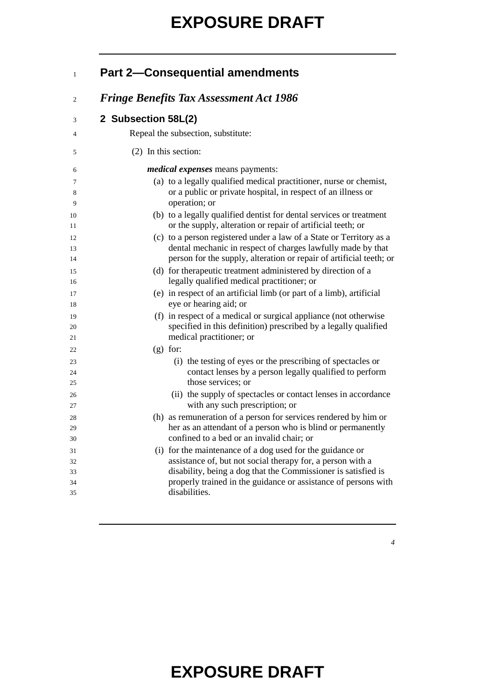| $\mathbf{1}$         |                      | <b>Part 2-Consequential amendments</b>                                                                                                                                                                                                                     |
|----------------------|----------------------|------------------------------------------------------------------------------------------------------------------------------------------------------------------------------------------------------------------------------------------------------------|
| 2                    |                      | <b>Fringe Benefits Tax Assessment Act 1986</b>                                                                                                                                                                                                             |
| 3                    | 2 Subsection 58L(2)  |                                                                                                                                                                                                                                                            |
| 4                    |                      | Repeal the subsection, substitute:                                                                                                                                                                                                                         |
| 5                    | (2) In this section: |                                                                                                                                                                                                                                                            |
| 6                    |                      | <i>medical expenses</i> means payments:                                                                                                                                                                                                                    |
| 7<br>8<br>9          |                      | (a) to a legally qualified medical practitioner, nurse or chemist,<br>or a public or private hospital, in respect of an illness or<br>operation; or                                                                                                        |
| 10<br>11             |                      | (b) to a legally qualified dentist for dental services or treatment<br>or the supply, alteration or repair of artificial teeth; or                                                                                                                         |
| 12<br>13<br>14       |                      | (c) to a person registered under a law of a State or Territory as a<br>dental mechanic in respect of charges lawfully made by that<br>person for the supply, alteration or repair of artificial teeth; or                                                  |
| 15<br>16             |                      | (d) for therapeutic treatment administered by direction of a<br>legally qualified medical practitioner; or                                                                                                                                                 |
| 17<br>18             |                      | (e) in respect of an artificial limb (or part of a limb), artificial<br>eye or hearing aid; or                                                                                                                                                             |
| 19<br>20<br>21       |                      | (f) in respect of a medical or surgical appliance (not otherwise<br>specified in this definition) prescribed by a legally qualified<br>medical practitioner; or                                                                                            |
| 22                   | $(g)$ for:           |                                                                                                                                                                                                                                                            |
| 23                   |                      | (i) the testing of eyes or the prescribing of spectacles or                                                                                                                                                                                                |
| 24<br>25             |                      | contact lenses by a person legally qualified to perform<br>those services; or                                                                                                                                                                              |
| 26<br>27             |                      | (ii) the supply of spectacles or contact lenses in accordance<br>with any such prescription; or                                                                                                                                                            |
| 28<br>29<br>30       |                      | (h) as remuneration of a person for services rendered by him or<br>her as an attendant of a person who is blind or permanently<br>confined to a bed or an invalid chair; or                                                                                |
| 31<br>32<br>33<br>34 |                      | (i) for the maintenance of a dog used for the guidance or<br>assistance of, but not social therapy for, a person with a<br>disability, being a dog that the Commissioner is satisfied is<br>properly trained in the guidance or assistance of persons with |
| 35                   |                      | disabilities.                                                                                                                                                                                                                                              |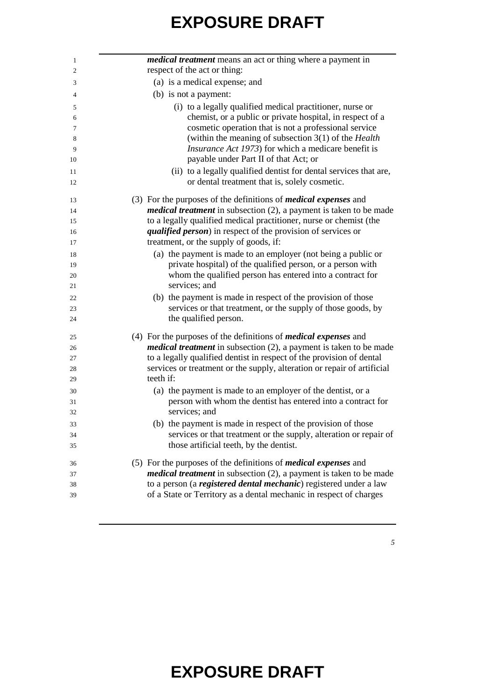| <i>medical treatment</i> means an act or thing where a payment in         |
|---------------------------------------------------------------------------|
| respect of the act or thing:                                              |
| (a) is a medical expense; and                                             |
| (b) is not a payment:                                                     |
| (i) to a legally qualified medical practitioner, nurse or                 |
| chemist, or a public or private hospital, in respect of a                 |
| cosmetic operation that is not a professional service                     |
| (within the meaning of subsection $3(1)$ of the <i>Health</i>             |
| <i>Insurance Act 1973</i> ) for which a medicare benefit is               |
| payable under Part II of that Act; or                                     |
| (ii) to a legally qualified dentist for dental services that are,         |
| or dental treatment that is, solely cosmetic.                             |
| (3) For the purposes of the definitions of <i>medical expenses</i> and    |
| <i>medical treatment</i> in subsection (2), a payment is taken to be made |
| to a legally qualified medical practitioner, nurse or chemist (the        |
| <i>qualified person</i> ) in respect of the provision of services or      |
| treatment, or the supply of goods, if:                                    |
| (a) the payment is made to an employer (not being a public or             |
| private hospital) of the qualified person, or a person with               |
| whom the qualified person has entered into a contract for                 |
| services; and                                                             |
| (b) the payment is made in respect of the provision of those              |
| services or that treatment, or the supply of those goods, by              |
| the qualified person.                                                     |
| (4) For the purposes of the definitions of <i>medical expenses</i> and    |
| <i>medical treatment</i> in subsection (2), a payment is taken to be made |
| to a legally qualified dentist in respect of the provision of dental      |
| services or treatment or the supply, alteration or repair of artificial   |
| teeth if:                                                                 |
| (a) the payment is made to an employer of the dentist, or a               |
| person with whom the dentist has entered into a contract for              |
| services; and                                                             |
| (b) the payment is made in respect of the provision of those              |
| services or that treatment or the supply, alteration or repair of         |
| those artificial teeth, by the dentist.                                   |
| (5) For the purposes of the definitions of <i>medical expenses</i> and    |
| <i>medical treatment</i> in subsection (2), a payment is taken to be made |
| to a person (a registered dental mechanic) registered under a law         |
| of a State or Territory as a dental mechanic in respect of charges        |